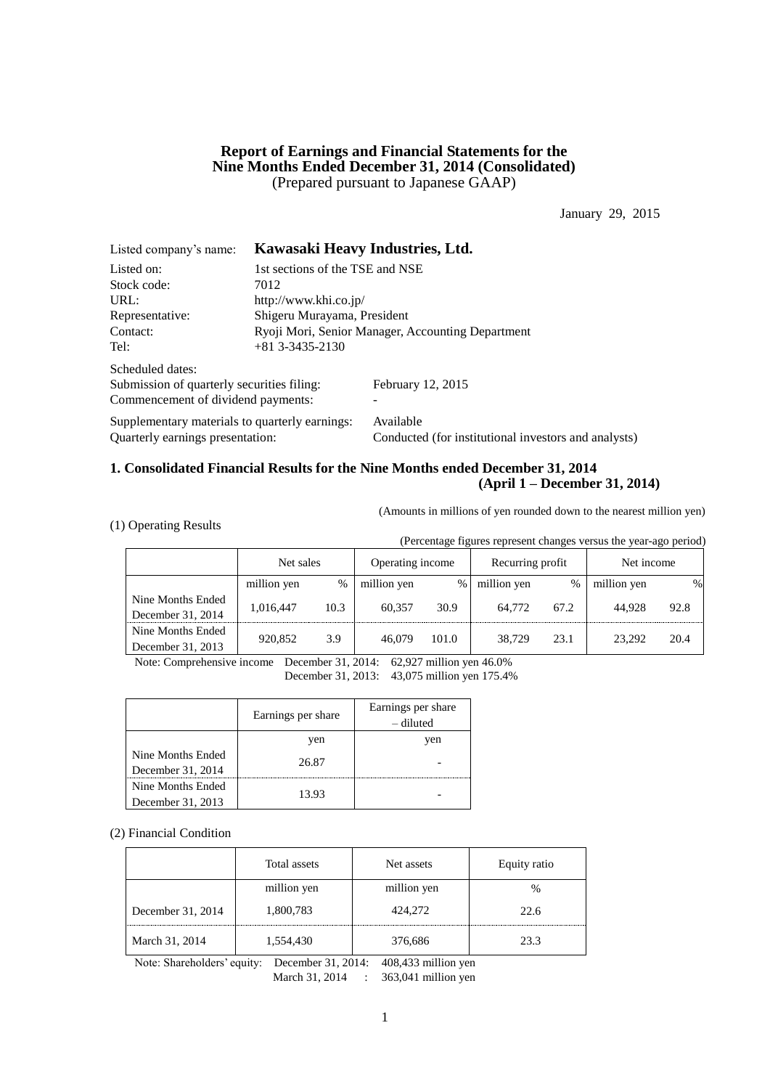# **Report of Earnings and Financial Statements for the Nine Months Ended December 31, 2014 (Consolidated)** (Prepared pursuant to Japanese GAAP)

January 29, 2015

| Listed company's name:                         | Kawasaki Heavy Industries, Ltd. |                                                      |  |  |
|------------------------------------------------|---------------------------------|------------------------------------------------------|--|--|
| Listed on:                                     | 1st sections of the TSE and NSE |                                                      |  |  |
| Stock code:                                    | 7012                            |                                                      |  |  |
| URL:                                           | http://www.khi.co.jp/           |                                                      |  |  |
| Representative:                                | Shigeru Murayama, President     |                                                      |  |  |
| Contact:                                       |                                 | Ryoji Mori, Senior Manager, Accounting Department    |  |  |
| Tel:                                           | $+81$ 3-3435-2130               |                                                      |  |  |
| Scheduled dates:                               |                                 |                                                      |  |  |
| Submission of quarterly securities filing:     |                                 | February 12, 2015                                    |  |  |
| Commencement of dividend payments:             |                                 |                                                      |  |  |
| Supplementary materials to quarterly earnings: |                                 | Available                                            |  |  |
| Ouarterly earnings presentation:               |                                 | Conducted (for institutional investors and analysts) |  |  |

# **1. Consolidated Financial Results for the Nine Months ended December 31, 2014 (April 1 – December 31, 2014)**

(Amounts in millions of yen rounded down to the nearest million yen)

|  |  | (1) Operating Results |  |
|--|--|-----------------------|--|
|--|--|-----------------------|--|

(Percentage figures represent changes versus the year-ago period)

|                   | Net sales   |      | Operating income |       | Recurring profit |      | Net income  |      |
|-------------------|-------------|------|------------------|-------|------------------|------|-------------|------|
|                   | million yen | %    | million yen      | $\%$  | million yen      | $\%$ | million yen | %    |
| Nine Months Ended | 1.016.447   | 10.3 | 60.357           | 30.9  | 64,772           | 67.2 | 44.928      | 92.8 |
| December 31, 2014 |             |      |                  |       |                  |      |             |      |
| Nine Months Ended |             |      | 46,079           | 101.0 | 38,729           | 23.1 | 23.292      | 20.4 |
| December 31, 2013 | 920,852     | 3.9  |                  |       |                  |      |             |      |

Note: Comprehensive income December 31, 2014: 62,927 million yen 46.0%

December 31, 2013: 43,075 million yen 175.4%

|                   | Earnings per share | Earnings per share<br>– diluted |
|-------------------|--------------------|---------------------------------|
|                   | yen                | ven                             |
| Nine Months Ended | 26.87              |                                 |
| December 31, 2014 |                    |                                 |
| Nine Months Ended |                    |                                 |
| December 31, 2013 | 13.93              |                                 |

#### (2) Financial Condition

|                   | Total assets | Net assets  | Equity ratio |
|-------------------|--------------|-------------|--------------|
|                   | million yen  | million yen | %            |
| December 31, 2014 | 1,800,783    | 424,272     | 22.6         |
| March 31, 2014    | 1,554,430    | 376,686     | 23.3         |

Note: Shareholders' equity: December 31, 2014: 408,433 million yen March 31, 2014 : 363,041 million yen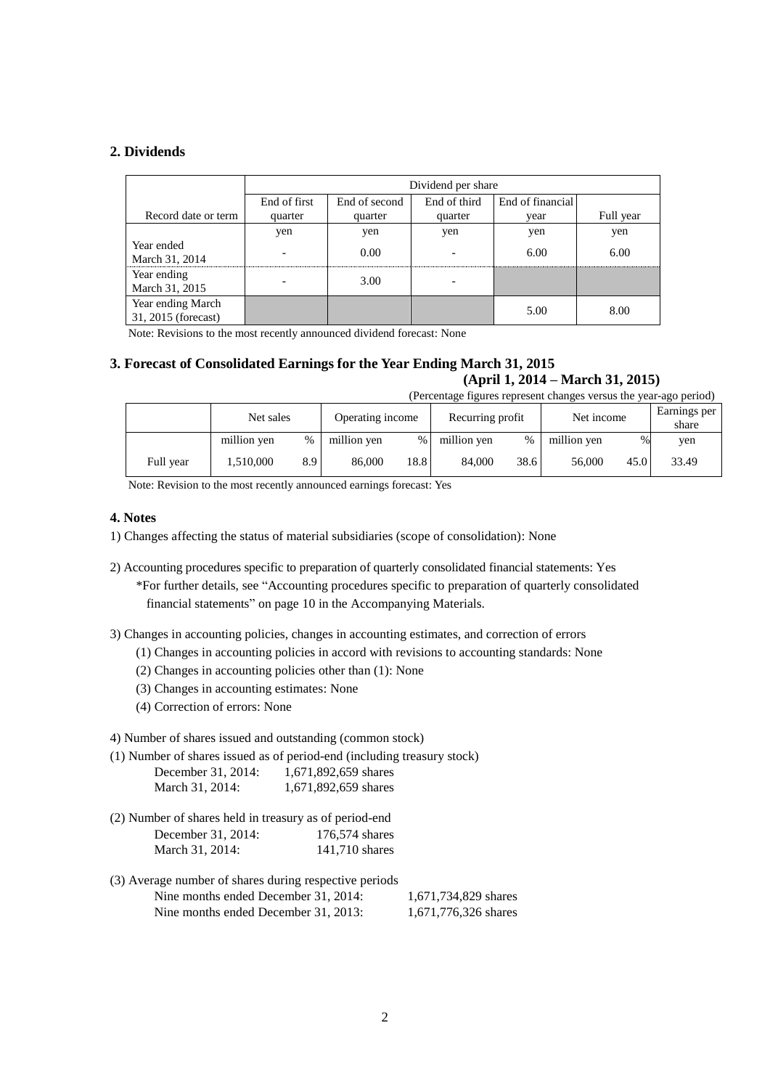# **2. Dividends**

|                                          |                          | Dividend per share |              |                  |           |  |  |  |  |
|------------------------------------------|--------------------------|--------------------|--------------|------------------|-----------|--|--|--|--|
|                                          | End of first             | End of second      | End of third | End of financial |           |  |  |  |  |
| Record date or term                      | quarter                  | quarter            | quarter      | vear             | Full year |  |  |  |  |
|                                          | yen                      | yen                | yen          | yen              | yen       |  |  |  |  |
| Year ended<br>March 31, 2014             | $\overline{\phantom{0}}$ | 0.00               |              | 6.00             | 6.00      |  |  |  |  |
| Year ending<br>March 31, 2015            |                          | 3.00               |              |                  |           |  |  |  |  |
| Year ending March<br>31, 2015 (forecast) |                          |                    |              | 5.00             | 8.00      |  |  |  |  |

Note: Revisions to the most recently announced dividend forecast: None

## **3. Forecast of Consolidated Earnings for the Year Ending March 31, 2015 (April 1, 2014 – March 31, 2015)** (Percentage figures represent changes versus the year-ago period)

|           | Net sales   |     | Operating income |      | Recurring profit |               | Net income  |      | Earnings per<br>share |  |
|-----------|-------------|-----|------------------|------|------------------|---------------|-------------|------|-----------------------|--|
|           | million yen | %   | million yen      | %    | million yen      | $\frac{0}{0}$ | million yen | $\%$ | yen                   |  |
| Full year | .510,000    | 8.9 | 86,000           | 18.8 | 84,000           | 38.6          | 56,000      | 45.0 | 33.49                 |  |

Note: Revision to the most recently announced earnings forecast: Yes

#### **4. Notes**

- 1) Changes affecting the status of material subsidiaries (scope of consolidation): None
- 2) Accounting procedures specific to preparation of quarterly consolidated financial statements: Yes \*For further details, see "Accounting procedures specific to preparation of quarterly consolidated financial statements" on page 10 in the Accompanying Materials.
- 3) Changes in accounting policies, changes in accounting estimates, and correction of errors
	- (1) Changes in accounting policies in accord with revisions to accounting standards: None
	- (2) Changes in accounting policies other than (1): None
	- (3) Changes in accounting estimates: None
	- (4) Correction of errors: None
- 4) Number of shares issued and outstanding (common stock)
- (1) Number of shares issued as of period-end (including treasury stock)

| December 31, 2014: | 1,671,892,659 shares |
|--------------------|----------------------|
| March 31, 2014:    | 1,671,892,659 shares |

| (2) Number of shares held in treasury as of period-end |                |
|--------------------------------------------------------|----------------|
| December 31, 2014:                                     | 176,574 shares |
| March 31, 2014:                                        | 141,710 shares |

(3) Average number of shares during respective periods Nine months ended December 31, 2014: 1,671,734,829 shares Nine months ended December 31, 2013: 1,671,776,326 shares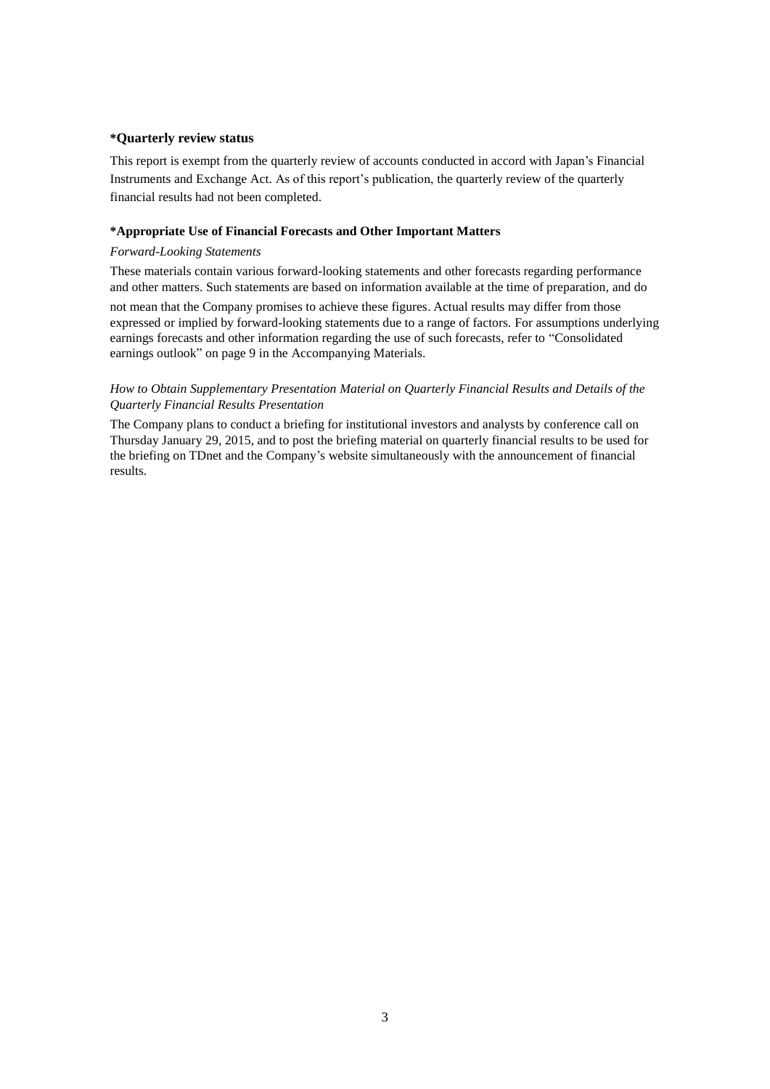#### **\*Quarterly review status**

This report is exempt from the quarterly review of accounts conducted in accord with Japan's Financial Instruments and Exchange Act. As of this report's publication, the quarterly review of the quarterly financial results had not been completed.

#### **\*Appropriate Use of Financial Forecasts and Other Important Matters**

#### *Forward-Looking Statements*

These materials contain various forward-looking statements and other forecasts regarding performance and other matters. Such statements are based on information available at the time of preparation, and do

not mean that the Company promises to achieve these figures. Actual results may differ from those expressed or implied by forward-looking statements due to a range of factors. For assumptions underlying earnings forecasts and other information regarding the use of such forecasts, refer to "Consolidated earnings outlook" on page 9 in the Accompanying Materials.

### *How to Obtain Supplementary Presentation Material on Quarterly Financial Results and Details of the Quarterly Financial Results Presentation*

The Company plans to conduct a briefing for institutional investors and analysts by conference call on Thursday January 29, 2015, and to post the briefing material on quarterly financial results to be used for the briefing on TDnet and the Company's website simultaneously with the announcement of financial results.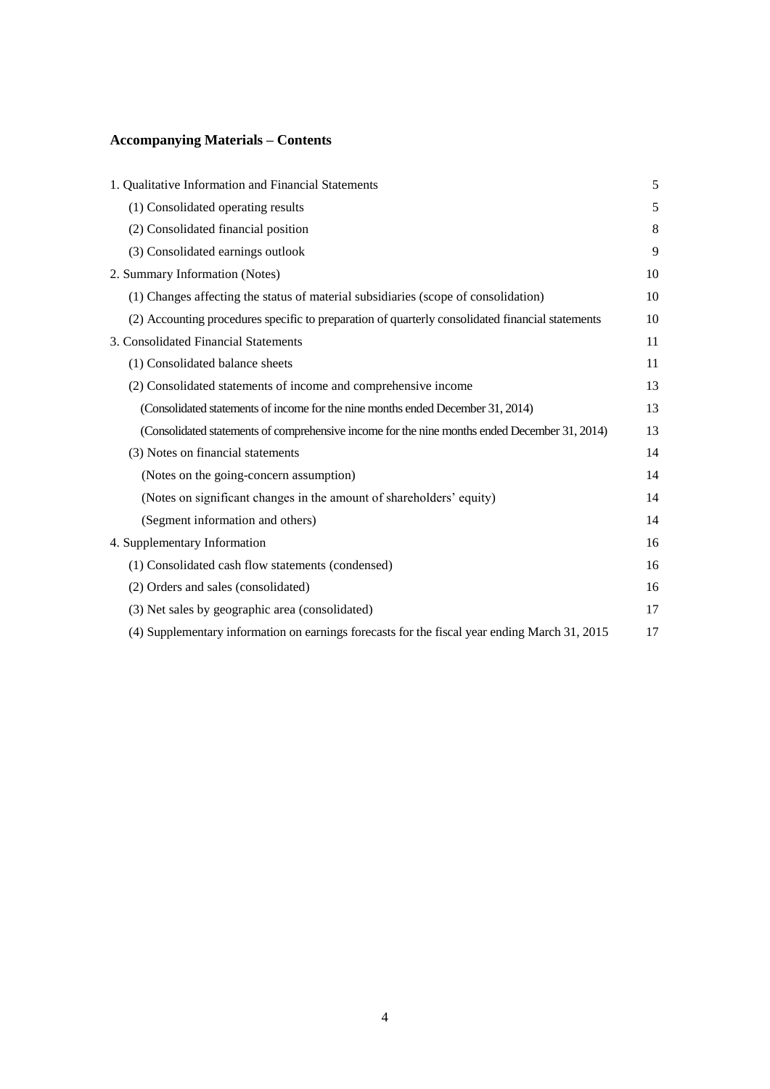# **Accompanying Materials – Contents**

| 1. Qualitative Information and Financial Statements                                              | 5  |
|--------------------------------------------------------------------------------------------------|----|
| (1) Consolidated operating results                                                               | 5  |
| (2) Consolidated financial position                                                              | 8  |
| (3) Consolidated earnings outlook                                                                | 9  |
| 2. Summary Information (Notes)                                                                   | 10 |
| (1) Changes affecting the status of material subsidiaries (scope of consolidation)               | 10 |
| (2) Accounting procedures specific to preparation of quarterly consolidated financial statements | 10 |
| 3. Consolidated Financial Statements                                                             | 11 |
| (1) Consolidated balance sheets                                                                  | 11 |
| (2) Consolidated statements of income and comprehensive income                                   | 13 |
| (Consolidated statements of income for the nine months ended December 31, 2014)                  | 13 |
| (Consolidated statements of comprehensive income for the nine months ended December 31, 2014)    | 13 |
| (3) Notes on financial statements                                                                | 14 |
| (Notes on the going-concern assumption)                                                          | 14 |
| (Notes on significant changes in the amount of shareholders' equity)                             | 14 |
| (Segment information and others)                                                                 | 14 |
| 4. Supplementary Information                                                                     | 16 |
| (1) Consolidated cash flow statements (condensed)                                                | 16 |
| (2) Orders and sales (consolidated)                                                              | 16 |
| (3) Net sales by geographic area (consolidated)                                                  | 17 |
| (4) Supplementary information on earnings forecasts for the fiscal year ending March 31, 2015    | 17 |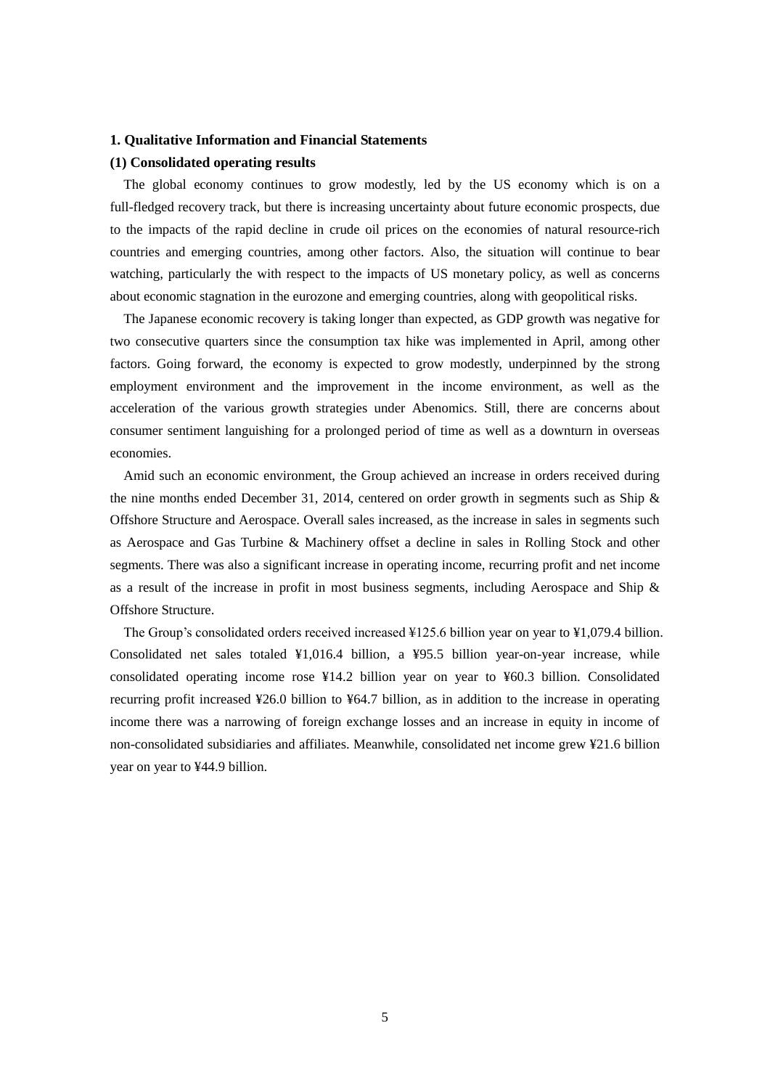#### **1. Qualitative Information and Financial Statements**

#### **(1) Consolidated operating results**

The global economy continues to grow modestly, led by the US economy which is on a full-fledged recovery track, but there is increasing uncertainty about future economic prospects, due to the impacts of the rapid decline in crude oil prices on the economies of natural resource-rich countries and emerging countries, among other factors. Also, the situation will continue to bear watching, particularly the with respect to the impacts of US monetary policy, as well as concerns about economic stagnation in the eurozone and emerging countries, along with geopolitical risks.

The Japanese economic recovery is taking longer than expected, as GDP growth was negative for two consecutive quarters since the consumption tax hike was implemented in April, among other factors. Going forward, the economy is expected to grow modestly, underpinned by the strong employment environment and the improvement in the income environment, as well as the acceleration of the various growth strategies under Abenomics. Still, there are concerns about consumer sentiment languishing for a prolonged period of time as well as a downturn in overseas economies.

Amid such an economic environment, the Group achieved an increase in orders received during the nine months ended December 31, 2014, centered on order growth in segments such as Ship  $\&$ Offshore Structure and Aerospace. Overall sales increased, as the increase in sales in segments such as Aerospace and Gas Turbine & Machinery offset a decline in sales in Rolling Stock and other segments. There was also a significant increase in operating income, recurring profit and net income as a result of the increase in profit in most business segments, including Aerospace and Ship  $\&$ Offshore Structure.

The Group's consolidated orders received increased ¥125.6 billion year on year to ¥1,079.4 billion. Consolidated net sales totaled ¥1,016.4 billion, a ¥95.5 billion year-on-year increase, while consolidated operating income rose ¥14.2 billion year on year to ¥60.3 billion. Consolidated recurring profit increased ¥26.0 billion to ¥64.7 billion, as in addition to the increase in operating income there was a narrowing of foreign exchange losses and an increase in equity in income of non-consolidated subsidiaries and affiliates. Meanwhile, consolidated net income grew ¥21.6 billion year on year to ¥44.9 billion.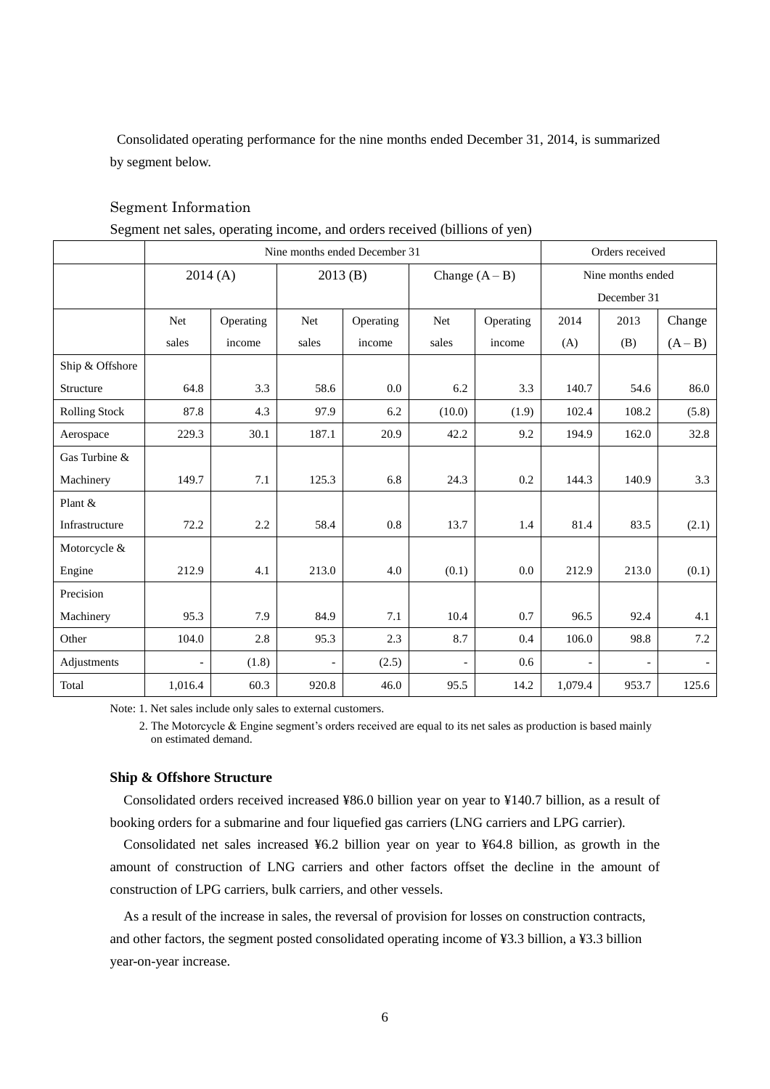Consolidated operating performance for the nine months ended December 31, 2014, is summarized by segment below.

|                      |         | Segment net sales, operating income, and orders received (billions of yen) |       |                               |                |                  |         |                   |           |  |
|----------------------|---------|----------------------------------------------------------------------------|-------|-------------------------------|----------------|------------------|---------|-------------------|-----------|--|
|                      |         |                                                                            |       | Nine months ended December 31 |                |                  |         | Orders received   |           |  |
|                      |         | 2014(A)                                                                    |       | 2013(B)                       |                | Change $(A - B)$ |         | Nine months ended |           |  |
|                      |         |                                                                            |       |                               |                |                  |         | December 31       |           |  |
|                      | Net     | Operating                                                                  | Net   | Operating                     | <b>Net</b>     | Operating        | 2014    | 2013              | Change    |  |
|                      | sales   | income                                                                     | sales | income                        | sales          | income           | (A)     | (B)               | $(A - B)$ |  |
| Ship & Offshore      |         |                                                                            |       |                               |                |                  |         |                   |           |  |
| Structure            | 64.8    | 3.3                                                                        | 58.6  | 0.0                           | 6.2            | 3.3              | 140.7   | 54.6              | 86.0      |  |
| <b>Rolling Stock</b> | 87.8    | 4.3                                                                        | 97.9  | 6.2                           | (10.0)         | (1.9)            | 102.4   | 108.2             | (5.8)     |  |
| Aerospace            | 229.3   | 30.1                                                                       | 187.1 | 20.9                          | 42.2           | 9.2              | 194.9   | 162.0             | 32.8      |  |
| Gas Turbine &        |         |                                                                            |       |                               |                |                  |         |                   |           |  |
| Machinery            | 149.7   | 7.1                                                                        | 125.3 | 6.8                           | 24.3           | $0.2\,$          | 144.3   | 140.9             | 3.3       |  |
| Plant &              |         |                                                                            |       |                               |                |                  |         |                   |           |  |
| Infrastructure       | 72.2    | $2.2\,$                                                                    | 58.4  | $0.8\,$                       | 13.7           | 1.4              | 81.4    | 83.5              | (2.1)     |  |
| Motorcycle &         |         |                                                                            |       |                               |                |                  |         |                   |           |  |
| Engine               | 212.9   | 4.1                                                                        | 213.0 | 4.0                           | (0.1)          | 0.0              | 212.9   | 213.0             | (0.1)     |  |
| Precision            |         |                                                                            |       |                               |                |                  |         |                   |           |  |
| Machinery            | 95.3    | 7.9                                                                        | 84.9  | 7.1                           | 10.4           | 0.7              | 96.5    | 92.4              | 4.1       |  |
| Other                | 104.0   | 2.8                                                                        | 95.3  | 2.3                           | 8.7            | 0.4              | 106.0   | 98.8              | 7.2       |  |
| Adjustments          |         | (1.8)                                                                      |       | (2.5)                         | $\overline{a}$ | 0.6              |         |                   |           |  |
| Total                | 1,016.4 | 60.3                                                                       | 920.8 | 46.0                          | 95.5           | 14.2             | 1,079.4 | 953.7             | 125.6     |  |

# Segment Information

Segment net sales, operating income, and orders received (billions of yen)

Note: 1. Net sales include only sales to external customers.

2. The Motorcycle & Engine segment's orders received are equal to its net sales as production is based mainly on estimated demand.

#### **Ship & Offshore Structure**

Consolidated orders received increased ¥86.0 billion year on year to ¥140.7 billion, as a result of booking orders for a submarine and four liquefied gas carriers (LNG carriers and LPG carrier).

Consolidated net sales increased ¥6.2 billion year on year to ¥64.8 billion, as growth in the amount of construction of LNG carriers and other factors offset the decline in the amount of construction of LPG carriers, bulk carriers, and other vessels.

As a result of the increase in sales, the reversal of provision for losses on construction contracts, and other factors, the segment posted consolidated operating income of ¥3.3 billion, a ¥3.3 billion year-on-year increase.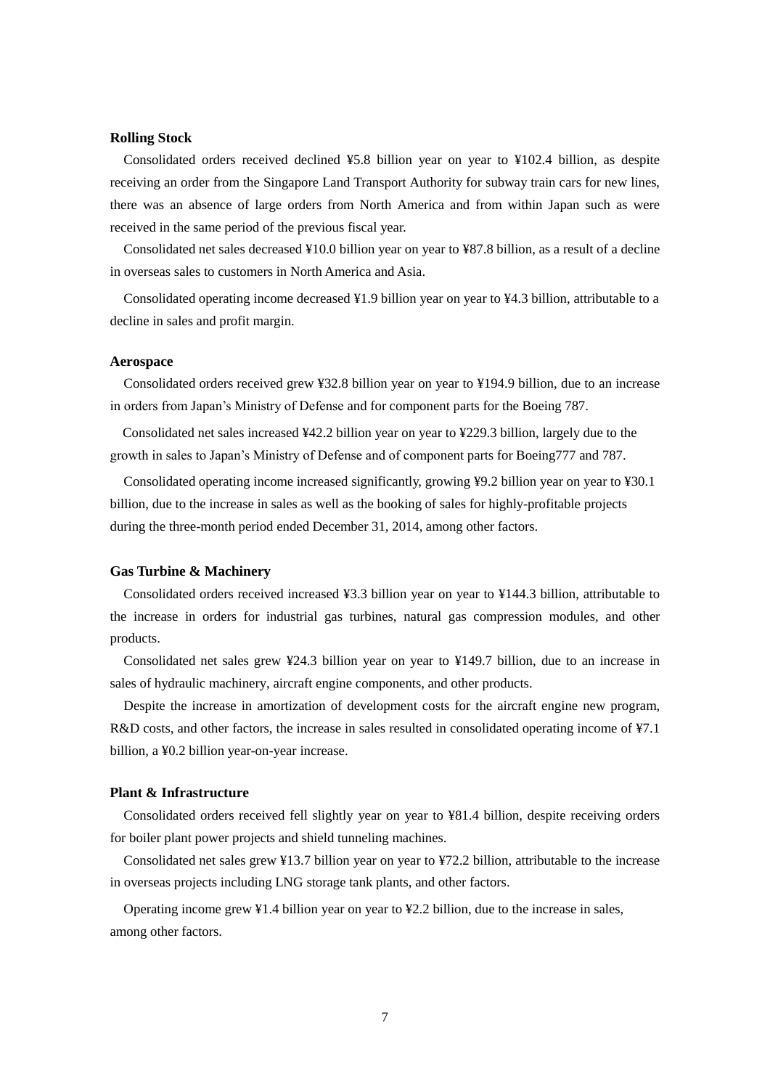#### **Rolling Stock**

Consolidated orders received declined ¥5.8 billion year on year to ¥102.4 billion, as despite receiving an order from the Singapore Land Transport Authority for subway train cars for new lines, there was an absence of large orders from North America and from within Japan such as were received in the same period of the previous fiscal year.

Consolidated net sales decreased ¥10.0 billion year on year to ¥87.8 billion, as a result of a decline in overseas sales to customers in North America and Asia.

Consolidated operating income decreased ¥1.9 billion year on year to ¥4.3 billion, attributable to a decline in sales and profit margin.

#### **Aerospace**

Consolidated orders received grew ¥32.8 billion year on year to ¥194.9 billion, due to an increase in orders from Japan's Ministry of Defense and for component parts for the Boeing 787.

Consolidated net sales increased ¥42.2 billion year on year to ¥229.3 billion, largely due to the growth in sales to Japan's Ministry of Defense and of component parts for Boeing777 and 787.

Consolidated operating income increased significantly, growing ¥9.2 billion year on year to ¥30.1 billion, due to the increase in sales as well as the booking of sales for highly-profitable projects during the three-month period ended December 31, 2014, among other factors.

#### **Gas Turbine & Machinery**

Consolidated orders received increased ¥3.3 billion year on year to ¥144.3 billion, attributable to the increase in orders for industrial gas turbines, natural gas compression modules, and other products.

Consolidated net sales grew ¥24.3 billion year on year to ¥149.7 billion, due to an increase in sales of hydraulic machinery, aircraft engine components, and other products.

Despite the increase in amortization of development costs for the aircraft engine new program, R&D costs, and other factors, the increase in sales resulted in consolidated operating income of ¥7.1 billion, a ¥0.2 billion year-on-year increase.

### **Plant & Infrastructure**

Consolidated orders received fell slightly year on year to ¥81.4 billion, despite receiving orders for boiler plant power projects and shield tunneling machines.

Consolidated net sales grew ¥13.7 billion year on year to ¥72.2 billion, attributable to the increase in overseas projects including LNG storage tank plants, and other factors.

Operating income grew ¥1.4 billion year on year to ¥2.2 billion, due to the increase in sales, among other factors.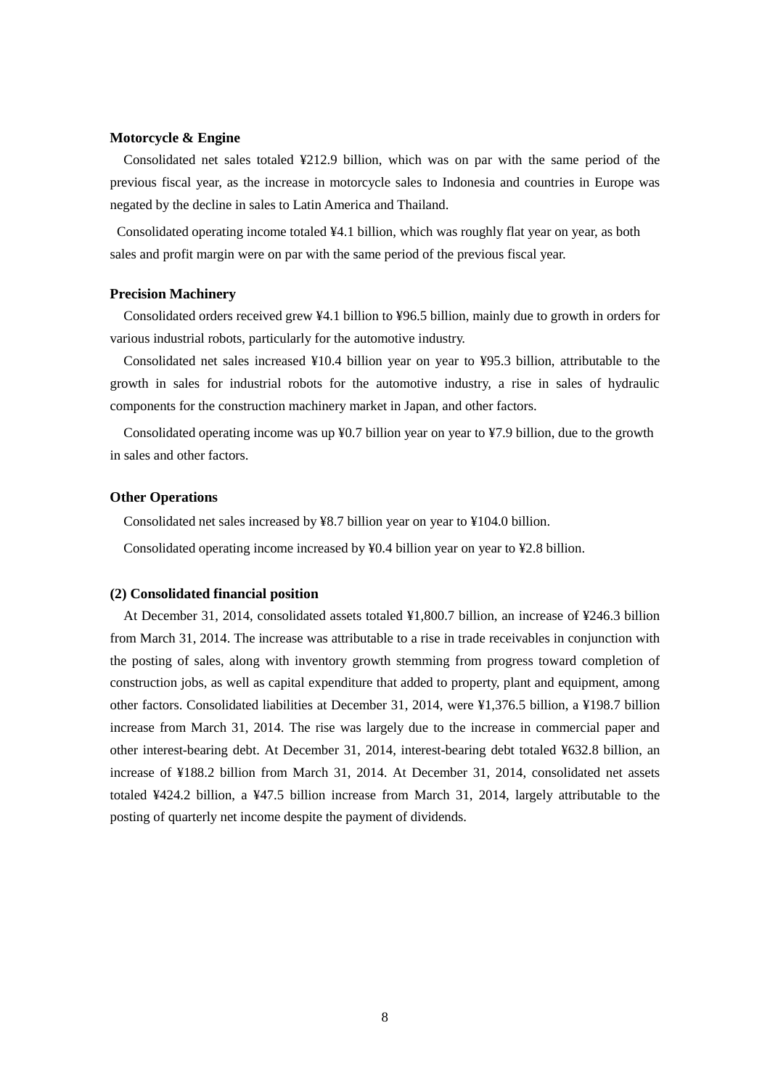#### **Motorcycle & Engine**

Consolidated net sales totaled ¥212.9 billion, which was on par with the same period of the previous fiscal year, as the increase in motorcycle sales to Indonesia and countries in Europe was negated by the decline in sales to Latin America and Thailand.

Consolidated operating income totaled ¥4.1 billion, which was roughly flat year on year, as both sales and profit margin were on par with the same period of the previous fiscal year.

#### **Precision Machinery**

Consolidated orders received grew ¥4.1 billion to ¥96.5 billion, mainly due to growth in orders for various industrial robots, particularly for the automotive industry.

Consolidated net sales increased ¥10.4 billion year on year to ¥95.3 billion, attributable to the growth in sales for industrial robots for the automotive industry, a rise in sales of hydraulic components for the construction machinery market in Japan, and other factors.

Consolidated operating income was up ¥0.7 billion year on year to ¥7.9 billion, due to the growth in sales and other factors.

#### **Other Operations**

Consolidated net sales increased by ¥8.7 billion year on year to ¥104.0 billion.

Consolidated operating income increased by ¥0.4 billion year on year to ¥2.8 billion.

#### **(2) Consolidated financial position**

At December 31, 2014, consolidated assets totaled ¥1,800.7 billion, an increase of ¥246.3 billion from March 31, 2014. The increase was attributable to a rise in trade receivables in conjunction with the posting of sales, along with inventory growth stemming from progress toward completion of construction jobs, as well as capital expenditure that added to property, plant and equipment, among other factors. Consolidated liabilities at December 31, 2014, were ¥1,376.5 billion, a ¥198.7 billion increase from March 31, 2014. The rise was largely due to the increase in commercial paper and other interest-bearing debt. At December 31, 2014, interest-bearing debt totaled ¥632.8 billion, an increase of ¥188.2 billion from March 31, 2014. At December 31, 2014, consolidated net assets totaled ¥424.2 billion, a ¥47.5 billion increase from March 31, 2014, largely attributable to the posting of quarterly net income despite the payment of dividends.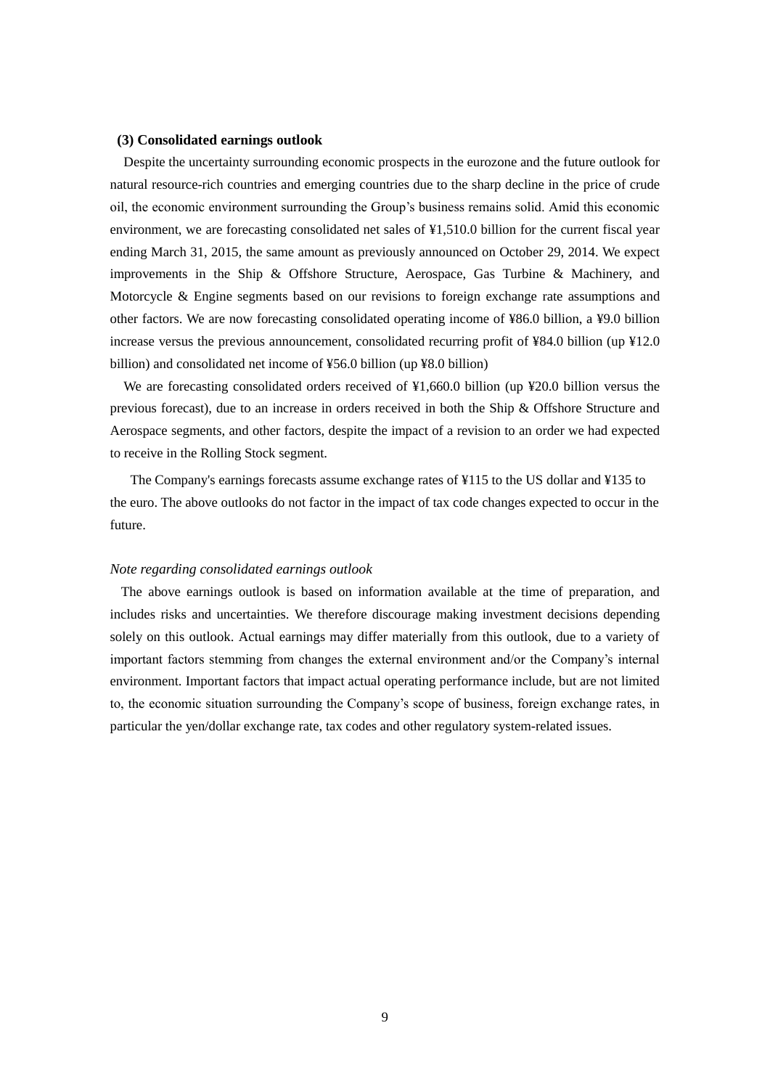#### **(3) Consolidated earnings outlook**

Despite the uncertainty surrounding economic prospects in the eurozone and the future outlook for natural resource-rich countries and emerging countries due to the sharp decline in the price of crude oil, the economic environment surrounding the Group's business remains solid. Amid this economic environment, we are forecasting consolidated net sales of ¥1,510.0 billion for the current fiscal year ending March 31, 2015, the same amount as previously announced on October 29, 2014. We expect improvements in the Ship & Offshore Structure, Aerospace, Gas Turbine & Machinery, and Motorcycle & Engine segments based on our revisions to foreign exchange rate assumptions and other factors. We are now forecasting consolidated operating income of ¥86.0 billion, a ¥9.0 billion increase versus the previous announcement, consolidated recurring profit of ¥84.0 billion (up ¥12.0 billion) and consolidated net income of ¥56.0 billion (up ¥8.0 billion)

We are forecasting consolidated orders received of ¥1,660.0 billion (up ¥20.0 billion versus the previous forecast), due to an increase in orders received in both the Ship & Offshore Structure and Aerospace segments, and other factors, despite the impact of a revision to an order we had expected to receive in the Rolling Stock segment.

The Company's earnings forecasts assume exchange rates of ¥115 to the US dollar and ¥135 to the euro. The above outlooks do not factor in the impact of tax code changes expected to occur in the future.

#### *Note regarding consolidated earnings outlook*

The above earnings outlook is based on information available at the time of preparation, and includes risks and uncertainties. We therefore discourage making investment decisions depending solely on this outlook. Actual earnings may differ materially from this outlook, due to a variety of important factors stemming from changes the external environment and/or the Company's internal environment. Important factors that impact actual operating performance include, but are not limited to, the economic situation surrounding the Company's scope of business, foreign exchange rates, in particular the yen/dollar exchange rate, tax codes and other regulatory system-related issues.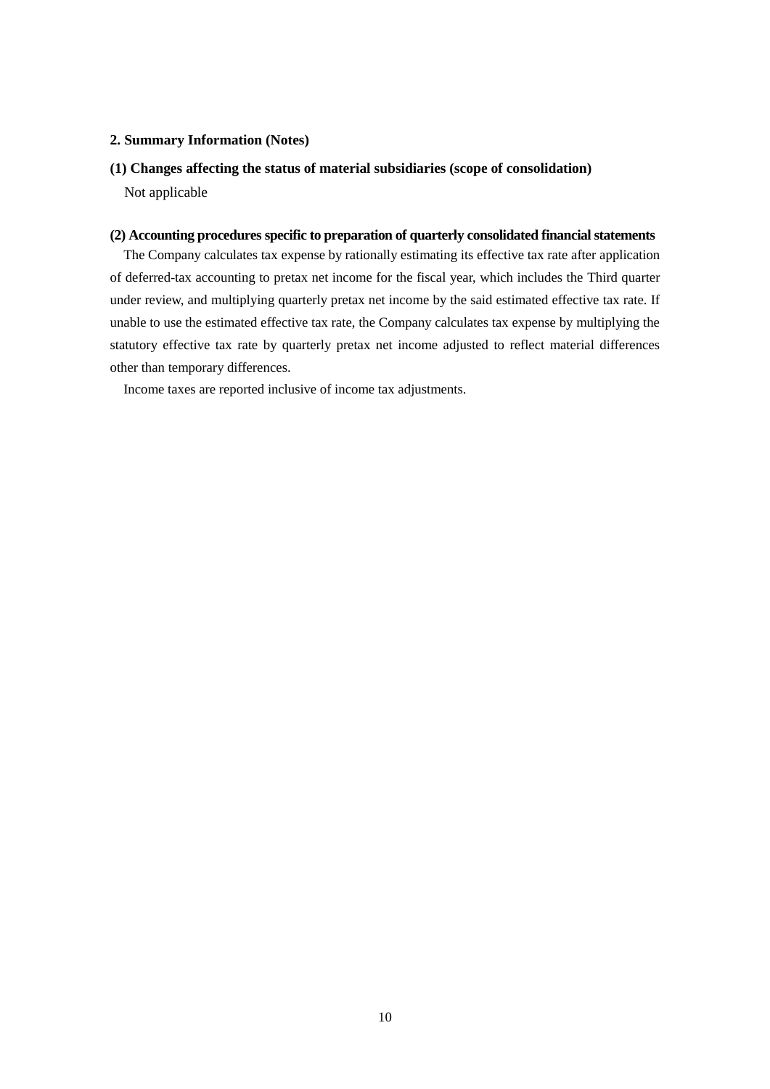### **2. Summary Information (Notes)**

### **(1) Changes affecting the status of material subsidiaries (scope of consolidation)**

Not applicable

# **(2) Accounting procedures specific to preparation of quarterly consolidated financial statements**

The Company calculates tax expense by rationally estimating its effective tax rate after application of deferred-tax accounting to pretax net income for the fiscal year, which includes the Third quarter under review, and multiplying quarterly pretax net income by the said estimated effective tax rate. If unable to use the estimated effective tax rate, the Company calculates tax expense by multiplying the statutory effective tax rate by quarterly pretax net income adjusted to reflect material differences other than temporary differences.

Income taxes are reported inclusive of income tax adjustments.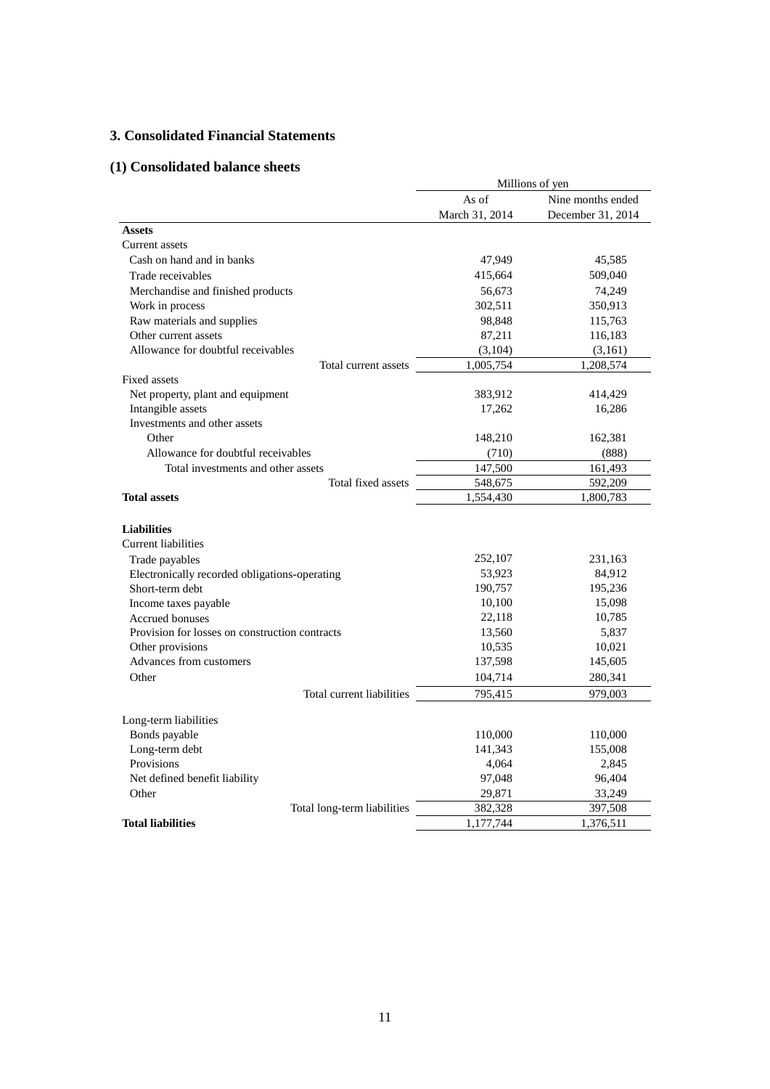# **3. Consolidated Financial Statements**

# **(1) Consolidated balance sheets**

|                                                                  | Millions of yen |                   |  |  |
|------------------------------------------------------------------|-----------------|-------------------|--|--|
|                                                                  | As of           | Nine months ended |  |  |
|                                                                  | March 31, 2014  | December 31, 2014 |  |  |
| <b>Assets</b>                                                    |                 |                   |  |  |
| Current assets                                                   |                 |                   |  |  |
| Cash on hand and in banks                                        | 47,949          | 45,585            |  |  |
| Trade receivables                                                | 415,664         | 509,040           |  |  |
| Merchandise and finished products                                | 56,673          | 74,249            |  |  |
| Work in process                                                  | 302,511         | 350,913           |  |  |
| Raw materials and supplies                                       | 98,848          | 115,763           |  |  |
| Other current assets                                             | 87,211          | 116,183           |  |  |
| Allowance for doubtful receivables                               | (3,104)         | (3,161)           |  |  |
| Total current assets                                             | 1,005,754       | 1,208,574         |  |  |
| Fixed assets                                                     |                 |                   |  |  |
| Net property, plant and equipment                                | 383,912         | 414,429           |  |  |
| Intangible assets                                                | 17,262          | 16,286            |  |  |
| Investments and other assets                                     |                 |                   |  |  |
| Other                                                            | 148,210         | 162,381           |  |  |
| Allowance for doubtful receivables                               | (710)           | (888)             |  |  |
| Total investments and other assets                               | 147,500         | 161,493           |  |  |
| Total fixed assets                                               | 548,675         | 592,209           |  |  |
| <b>Total assets</b>                                              | 1,554,430       | 1,800,783         |  |  |
| <b>Liabilities</b>                                               |                 |                   |  |  |
| <b>Current liabilities</b>                                       |                 |                   |  |  |
| Trade payables                                                   | 252,107         | 231,163           |  |  |
|                                                                  | 53,923          | 84,912            |  |  |
| Electronically recorded obligations-operating<br>Short-term debt | 190,757         | 195,236           |  |  |
| Income taxes payable                                             | 10,100          | 15,098            |  |  |
| Accrued bonuses                                                  | 22,118          | 10,785            |  |  |
| Provision for losses on construction contracts                   | 13,560          | 5,837             |  |  |
| Other provisions                                                 | 10,535          | 10,021            |  |  |
| Advances from customers                                          | 137,598         | 145,605           |  |  |
| Other                                                            | 104,714         | 280,341           |  |  |
|                                                                  | 795,415         | 979,003           |  |  |
| Total current liabilities                                        |                 |                   |  |  |
| Long-term liabilities                                            |                 |                   |  |  |
| Bonds payable                                                    | 110,000         | 110,000           |  |  |
| Long-term debt                                                   | 141,343         | 155,008           |  |  |
| Provisions                                                       | 4,064           | 2,845             |  |  |
| Net defined benefit liability                                    | 97,048          | 96,404            |  |  |
| Other                                                            | 29,871          | 33,249            |  |  |
| Total long-term liabilities                                      | 382,328         | 397,508           |  |  |
| <b>Total liabilities</b>                                         | 1,177,744       | 1,376,511         |  |  |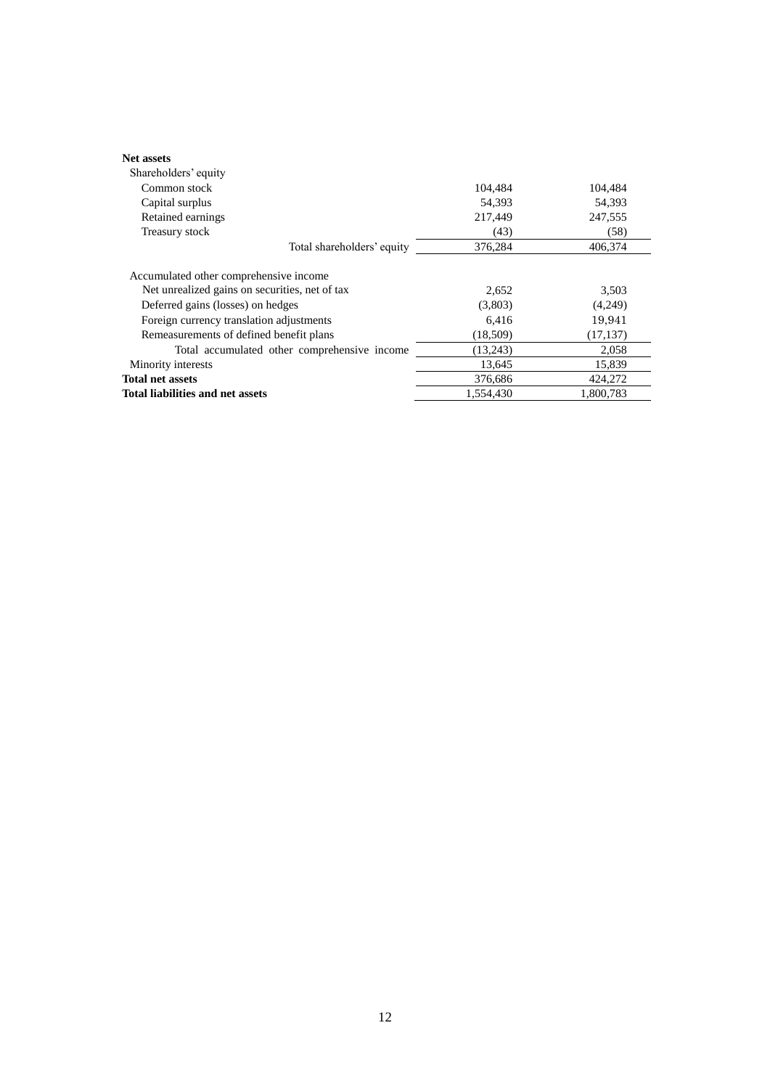| <b>Net assets</b>                              |           |           |
|------------------------------------------------|-----------|-----------|
| Shareholders' equity                           |           |           |
| Common stock                                   | 104,484   | 104,484   |
| Capital surplus                                | 54.393    | 54,393    |
| Retained earnings                              | 217,449   | 247,555   |
| Treasury stock                                 | (43)      | (58)      |
| Total shareholders' equity                     | 376,284   | 406.374   |
| Accumulated other comprehensive income         |           |           |
| Net unrealized gains on securities, net of tax | 2,652     | 3,503     |
| Deferred gains (losses) on hedges              | (3,803)   | (4,249)   |
| Foreign currency translation adjustments       | 6,416     | 19,941    |
| Remeasurements of defined benefit plans        | (18,509)  | (17, 137) |
| Total accumulated other comprehensive income   | (13,243)  | 2,058     |
| Minority interests                             | 13.645    | 15,839    |
| <b>Total net assets</b>                        | 376,686   | 424,272   |
| Total liabilities and net assets               | 1,554,430 | 1,800,783 |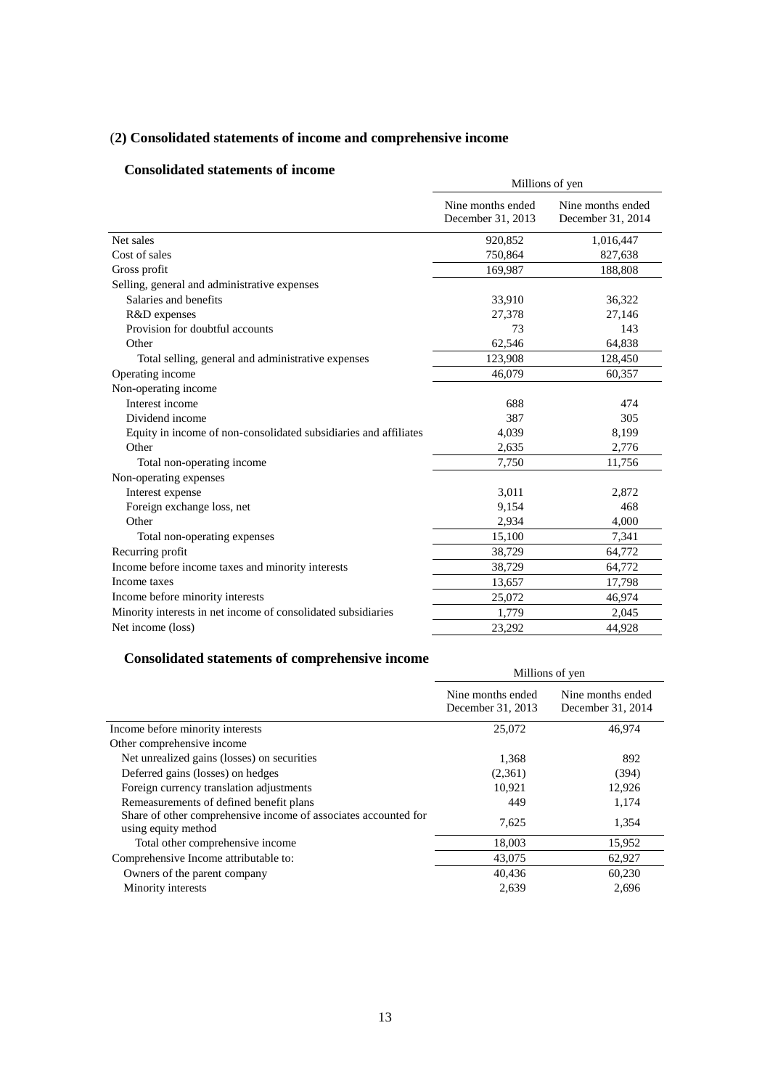# (**2) Consolidated statements of income and comprehensive income**

# **Consolidated statements of income**

| Consonuateu statements of muonie                                 | Millions of yen                        |                                        |  |
|------------------------------------------------------------------|----------------------------------------|----------------------------------------|--|
|                                                                  | Nine months ended<br>December 31, 2013 | Nine months ended<br>December 31, 2014 |  |
| Net sales                                                        | 920,852                                | 1,016,447                              |  |
| Cost of sales                                                    | 750,864                                | 827,638                                |  |
| Gross profit                                                     | 169,987                                | 188,808                                |  |
| Selling, general and administrative expenses                     |                                        |                                        |  |
| Salaries and benefits                                            | 33,910                                 | 36,322                                 |  |
| R&D expenses                                                     | 27,378                                 | 27,146                                 |  |
| Provision for doubtful accounts                                  | 73                                     | 143                                    |  |
| Other                                                            | 62,546                                 | 64,838                                 |  |
| Total selling, general and administrative expenses               | 123,908                                | 128,450                                |  |
| Operating income                                                 | 46,079                                 | 60,357                                 |  |
| Non-operating income                                             |                                        |                                        |  |
| Interest income                                                  | 688                                    | 474                                    |  |
| Dividend income                                                  | 387                                    | 305                                    |  |
| Equity in income of non-consolidated subsidiaries and affiliates | 4,039                                  | 8,199                                  |  |
| Other                                                            | 2,635                                  | 2,776                                  |  |
| Total non-operating income                                       | 7,750                                  | 11,756                                 |  |
| Non-operating expenses                                           |                                        |                                        |  |
| Interest expense                                                 | 3,011                                  | 2,872                                  |  |
| Foreign exchange loss, net                                       | 9,154                                  | 468                                    |  |
| Other                                                            | 2,934                                  | 4,000                                  |  |
| Total non-operating expenses                                     | 15,100                                 | 7,341                                  |  |
| Recurring profit                                                 | 38,729                                 | 64,772                                 |  |
| Income before income taxes and minority interests                | 38,729                                 | 64,772                                 |  |
| Income taxes                                                     | 13,657                                 | 17,798                                 |  |
| Income before minority interests                                 | 25,072                                 | 46,974                                 |  |
| Minority interests in net income of consolidated subsidiaries    | 1,779                                  | 2,045                                  |  |
| Net income (loss)                                                | 23,292                                 | 44,928                                 |  |

# **Consolidated statements of comprehensive income**

|                                                                                        | Millions of yen                        |                                        |  |
|----------------------------------------------------------------------------------------|----------------------------------------|----------------------------------------|--|
|                                                                                        | Nine months ended<br>December 31, 2013 | Nine months ended<br>December 31, 2014 |  |
| Income before minority interests                                                       | 25,072                                 | 46,974                                 |  |
| Other comprehensive income                                                             |                                        |                                        |  |
| Net unrealized gains (losses) on securities                                            | 1,368                                  | 892                                    |  |
| Deferred gains (losses) on hedges                                                      | (2,361)                                | (394)                                  |  |
| Foreign currency translation adjustments                                               | 10,921                                 | 12,926                                 |  |
| Remeasurements of defined benefit plans                                                | 449                                    | 1,174                                  |  |
| Share of other comprehensive income of associates accounted for<br>using equity method | 7,625                                  | 1,354                                  |  |
| Total other comprehensive income                                                       | 18,003                                 | 15,952                                 |  |
| Comprehensive Income attributable to:                                                  | 43,075                                 | 62,927                                 |  |
| Owners of the parent company                                                           | 40,436                                 | 60,230                                 |  |
| Minority interests                                                                     | 2,639                                  | 2,696                                  |  |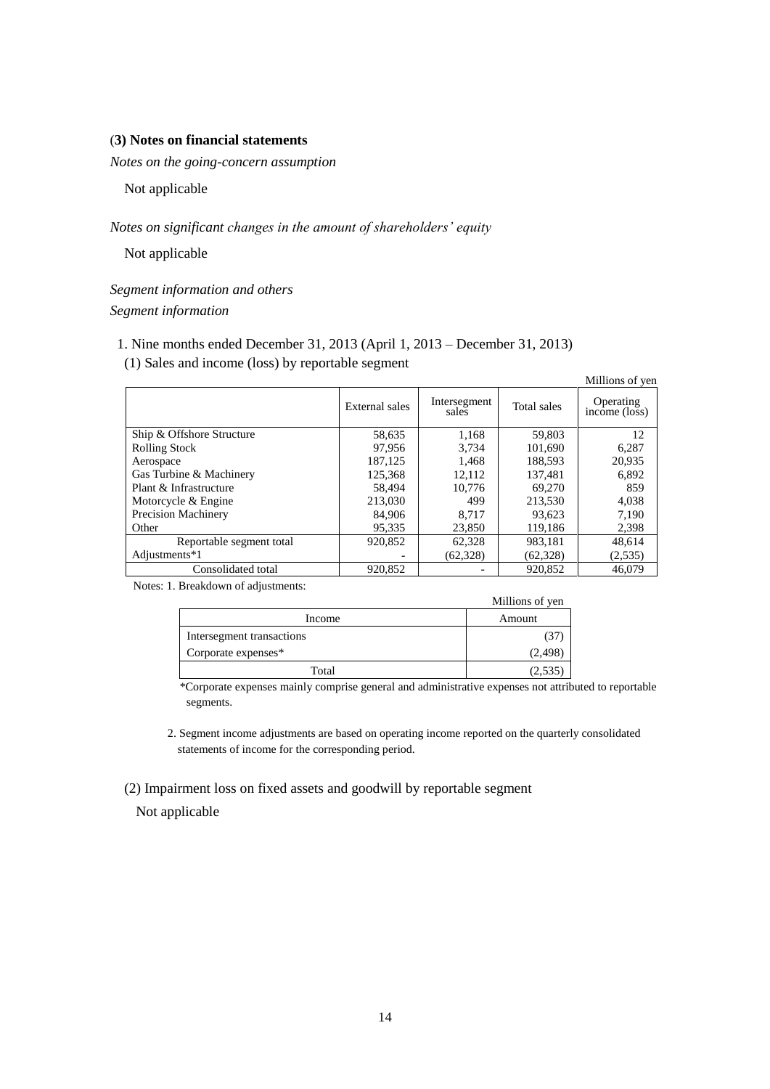### (**3) Notes on financial statements**

*Notes on the going-concern assumption* 

Not applicable

*Notes on significant changes in the amount of shareholders' equity*

Not applicable

*Segment information and others Segment information*

- 1. Nine months ended December 31, 2013 (April 1, 2013 December 31, 2013)
- (1) Sales and income (loss) by reportable segment

|                           |                |                       |             | Millions of yen                                      |
|---------------------------|----------------|-----------------------|-------------|------------------------------------------------------|
|                           | External sales | Intersegment<br>sales | Total sales | Operating<br>income $(\overrightarrow{\text{loss}})$ |
| Ship & Offshore Structure | 58,635         | 1,168                 | 59,803      | 12                                                   |
| <b>Rolling Stock</b>      | 97.956         | 3.734                 | 101,690     | 6,287                                                |
| Aerospace                 | 187,125        | 1,468                 | 188,593     | 20,935                                               |
| Gas Turbine & Machinery   | 125,368        | 12,112                | 137,481     | 6,892                                                |
| Plant & Infrastructure    | 58.494         | 10.776                | 69,270      | 859                                                  |
| Motorcycle & Engine       | 213,030        | 499                   | 213,530     | 4,038                                                |
| Precision Machinery       | 84,906         | 8.717                 | 93,623      | 7,190                                                |
| Other                     | 95,335         | 23,850                | 119,186     | 2,398                                                |
| Reportable segment total  | 920,852        | 62,328                | 983.181     | 48.614                                               |
| Adjustments*1             |                | (62, 328)             | (62, 328)   | (2,535)                                              |
| Consolidated total        | 920.852        |                       | 920.852     | 46.079                                               |

Notes: 1. Breakdown of adjustments:

|                           | Millions of yen |
|---------------------------|-----------------|
| Income                    | Amount          |
| Intersegment transactions |                 |
| Corporate expenses*       | (2,498          |
| Total                     | 2.53.           |

\*Corporate expenses mainly comprise general and administrative expenses not attributed to reportable segments.

2. Segment income adjustments are based on operating income reported on the quarterly consolidated statements of income for the corresponding period.

(2) Impairment loss on fixed assets and goodwill by reportable segment

Not applicable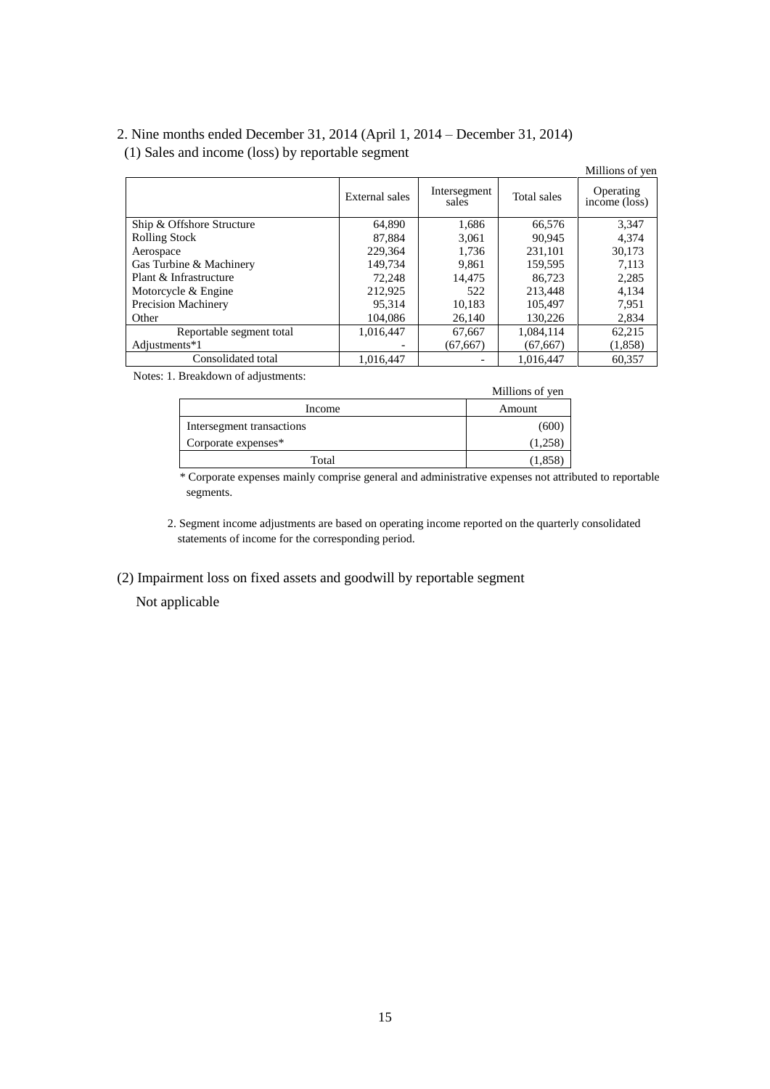# 2. Nine months ended December 31, 2014 (April 1, 2014 – December 31, 2014) (1) Sales and income (loss) by reportable segment

|                            |                |                       |             | Millions of yer            |
|----------------------------|----------------|-----------------------|-------------|----------------------------|
|                            | External sales | Intersegment<br>sales | Total sales | Operating<br>income (loss) |
| Ship & Offshore Structure  | 64,890         | 1,686                 | 66,576      | 3.347                      |
| <b>Rolling Stock</b>       | 87,884         | 3,061                 | 90.945      | 4,374                      |
| Aerospace                  | 229.364        | 1.736                 | 231.101     | 30,173                     |
| Gas Turbine & Machinery    | 149.734        | 9,861                 | 159.595     | 7,113                      |
| Plant & Infrastructure     | 72.248         | 14.475                | 86.723      | 2,285                      |
| Motorcycle & Engine        | 212.925        | 522                   | 213,448     | 4,134                      |
| <b>Precision Machinery</b> | 95.314         | 10,183                | 105,497     | 7.951                      |
| Other                      | 104,086        | 26,140                | 130,226     | 2,834                      |
| Reportable segment total   | 1.016.447      | 67,667                | 1,084,114   | 62,215                     |
| Adjustments*1              | -              | (67, 667)             | (67, 667)   | (1,858)                    |
| Consolidated total         | 1,016,447      |                       | 1.016.447   | 60,357                     |

Notes: 1. Breakdown of adjustments:

|                           | Millions of yen |
|---------------------------|-----------------|
| Income                    | Amount          |
| Intersegment transactions | (600            |
| Corporate expenses*       | (1,258)         |
| Total                     | (1,858          |

\* Corporate expenses mainly comprise general and administrative expenses not attributed to reportable segments.

- 2. Segment income adjustments are based on operating income reported on the quarterly consolidated statements of income for the corresponding period.
- (2) Impairment loss on fixed assets and goodwill by reportable segment

Not applicable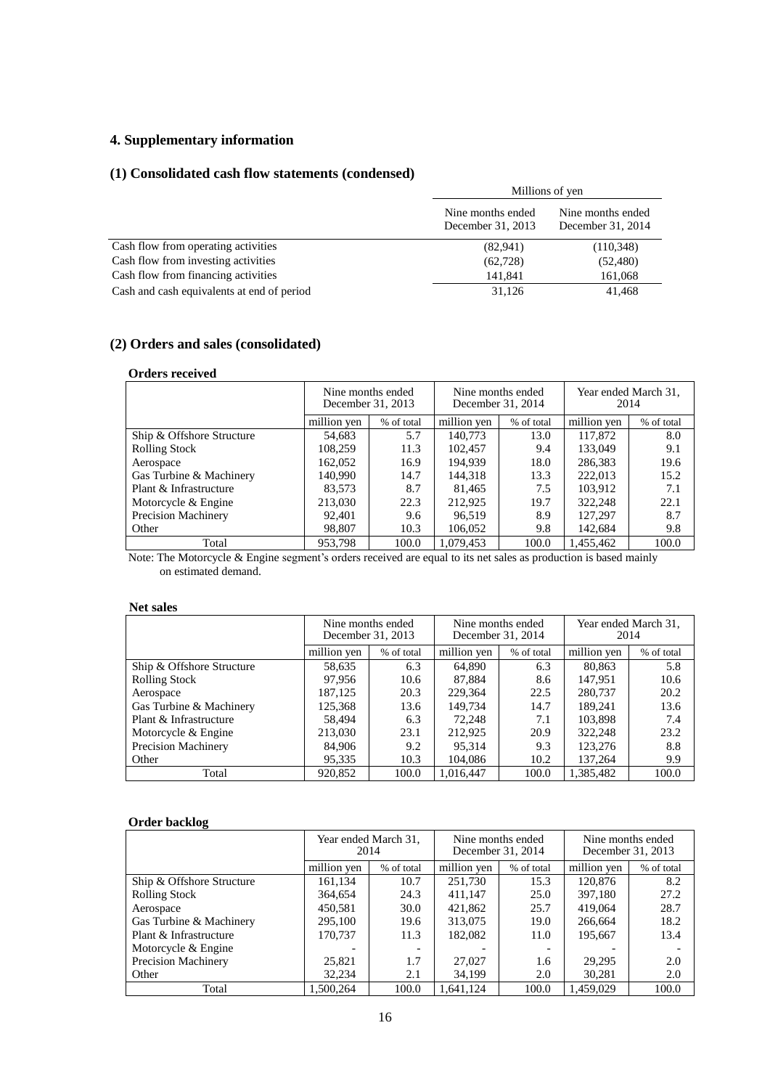# **4. Supplementary information**

# **(1) Consolidated cash flow statements (condensed)**

|                                            | Millions of yen                        |                                        |  |
|--------------------------------------------|----------------------------------------|----------------------------------------|--|
|                                            | Nine months ended<br>December 31, 2013 | Nine months ended<br>December 31, 2014 |  |
| Cash flow from operating activities        | (82,941)                               | (110, 348)                             |  |
| Cash flow from investing activities        | (62, 728)                              | (52, 480)                              |  |
| Cash flow from financing activities        | 141,841                                | 161,068                                |  |
| Cash and cash equivalents at end of period | 31,126                                 | 41,468                                 |  |

# **(2) Orders and sales (consolidated)**

#### **Orders received**

|                            | Nine months ended<br>December 31, 2013 |            | Nine months ended<br>December 31, 2014 |            | Year ended March 31,<br>2014 |            |
|----------------------------|----------------------------------------|------------|----------------------------------------|------------|------------------------------|------------|
|                            | million yen                            | % of total | million yen                            | % of total | million yen                  | % of total |
| Ship & Offshore Structure  | 54,683                                 | 5.7        | 140,773                                | 13.0       | 117,872                      | 8.0        |
| <b>Rolling Stock</b>       | 108.259                                | 11.3       | 102.457                                | 9.4        | 133,049                      | 9.1        |
| Aerospace                  | 162,052                                | 16.9       | 194.939                                | 18.0       | 286,383                      | 19.6       |
| Gas Turbine & Machinery    | 140,990                                | 14.7       | 144.318                                | 13.3       | 222,013                      | 15.2       |
| Plant & Infrastructure     | 83,573                                 | 8.7        | 81,465                                 | 7.5        | 103.912                      | 7.1        |
| Motorcycle & Engine        | 213,030                                | 22.3       | 212,925                                | 19.7       | 322,248                      | 22.1       |
| <b>Precision Machinery</b> | 92,401                                 | 9.6        | 96.519                                 | 8.9        | 127,297                      | 8.7        |
| Other                      | 98,807                                 | 10.3       | 106,052                                | 9.8        | 142.684                      | 9.8        |
| Total                      | 953.798                                | 100.0      | 1.079.453                              | 100.0      | 1,455,462                    | 100.0      |

Note: The Motorcycle & Engine segment's orders received are equal to its net sales as production is based mainly on estimated demand.

#### **Net sales**

|                           | Nine months ended<br>December 31, 2013 |            | December 31, 2014 | Nine months ended | Year ended March 31.<br>2014 |            |
|---------------------------|----------------------------------------|------------|-------------------|-------------------|------------------------------|------------|
|                           | million yen                            | % of total | million yen       | % of total        | million yen                  | % of total |
| Ship & Offshore Structure | 58,635                                 | 6.3        | 64,890            | 6.3               | 80,863                       | 5.8        |
| <b>Rolling Stock</b>      | 97,956                                 | 10.6       | 87,884            | 8.6               | 147.951                      | 10.6       |
| Aerospace                 | 187,125                                | 20.3       | 229,364           | 22.5              | 280,737                      | 20.2       |
| Gas Turbine & Machinery   | 125,368                                | 13.6       | 149,734           | 14.7              | 189,241                      | 13.6       |
| Plant & Infrastructure    | 58.494                                 | 6.3        | 72,248            | 7.1               | 103.898                      | 7.4        |
| Motorcycle & Engine       | 213,030                                | 23.1       | 212,925           | 20.9              | 322,248                      | 23.2       |
| Precision Machinery       | 84,906                                 | 9.2        | 95.314            | 9.3               | 123,276                      | 8.8        |
| Other                     | 95,335                                 | 10.3       | 104,086           | 10.2              | 137,264                      | 9.9        |
| Total                     | 920,852                                | 100.0      | 1.016.447         | 100.0             | 1.385.482                    | 100.0      |

# **Order backlog**

|                            | 2014        | Year ended March 31,     | December 31, 2014 | Nine months ended | Nine months ended<br>December 31, 2013 |            |
|----------------------------|-------------|--------------------------|-------------------|-------------------|----------------------------------------|------------|
|                            | million yen | % of total               | million yen       | % of total        | million yen                            | % of total |
| Ship & Offshore Structure  | 161.134     | 10.7                     | 251.730           | 15.3              | 120,876                                | 8.2        |
| <b>Rolling Stock</b>       | 364,654     | 24.3                     | 411.147           | 25.0              | 397,180                                | 27.2       |
| Aerospace                  | 450,581     | 30.0                     | 421,862           | 25.7              | 419,064                                | 28.7       |
| Gas Turbine & Machinery    | 295,100     | 19.6                     | 313,075           | 19.0              | 266.664                                | 18.2       |
| Plant & Infrastructure     | 170.737     | 11.3                     | 182,082           | 11.0              | 195,667                                | 13.4       |
| Motorcycle & Engine        |             | $\overline{\phantom{a}}$ |                   |                   |                                        |            |
| <b>Precision Machinery</b> | 25,821      | 1.7                      | 27,027            | 1.6               | 29.295                                 | 2.0        |
| Other                      | 32.234      | 2.1                      | 34,199            | 2.0               | 30,281                                 | 2.0        |
| Total                      | 1.500.264   | 100.0                    | 1,641,124         | 100.0             | 1,459,029                              | 100.0      |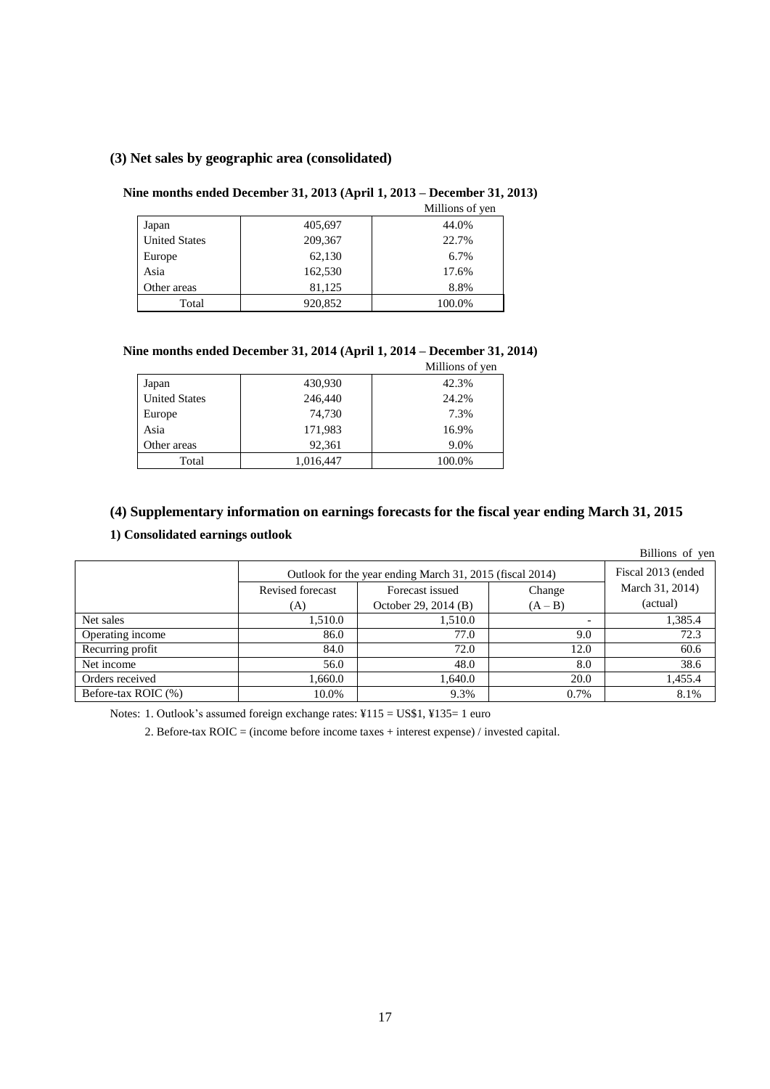# **(3) Net sales by geographic area (consolidated)**

# **Nine months ended December 31, 2013 (April 1, 2013 – December 31, 2013)**

|                      |         | Millions of yen |
|----------------------|---------|-----------------|
| Japan                | 405,697 | 44.0%           |
| <b>United States</b> | 209,367 | 22.7%           |
| Europe               | 62,130  | 6.7%            |
| Asia                 | 162,530 | 17.6%           |
| Other areas          | 81,125  | 8.8%            |
| Total                | 920,852 | 100.0%          |

### **Nine months ended December 31, 2014 (April 1, 2014 – December 31, 2014)**

|                      |           | Millions of yen |
|----------------------|-----------|-----------------|
| Japan                | 430,930   | 42.3%           |
| <b>United States</b> | 246,440   | 24.2%           |
| Europe               | 74,730    | 7.3%            |
| Asia                 | 171,983   | 16.9%           |
| Other areas          | 92,361    | 9.0%            |
| Total                | 1,016,447 | 100.0%          |

# **(4) Supplementary information on earnings forecasts for the fiscal year ending March 31, 2015**

# **1) Consolidated earnings outlook**

|                     |                                                          |                      |                          | Billions of yen |
|---------------------|----------------------------------------------------------|----------------------|--------------------------|-----------------|
|                     | Outlook for the year ending March 31, 2015 (fiscal 2014) | Fiscal 2013 (ended   |                          |                 |
|                     | Revised forecast                                         | Forecast issued      | Change                   | March 31, 2014) |
|                     | (A)                                                      | October 29, 2014 (B) | $(A - B)$                | (actual)        |
| Net sales           | 1,510.0                                                  | 1.510.0              | $\overline{\phantom{a}}$ | 1,385.4         |
| Operating income    | 86.0                                                     | 77.0                 | 9.0                      | 72.3            |
| Recurring profit    | 84.0                                                     | 72.0                 | 12.0                     | 60.6            |
| Net income          | 56.0                                                     | 48.0                 | 8.0                      | 38.6            |
| Orders received     | 1,660.0                                                  | 1.640.0              | 20.0                     | 1,455.4         |
| Before-tax ROIC (%) | 10.0%                                                    | 9.3%                 | 0.7%                     | 8.1%            |

Notes: 1. Outlook's assumed foreign exchange rates: ¥115 = US\$1, ¥135= 1 euro

2. Before-tax ROIC = (income before income taxes + interest expense) / invested capital.